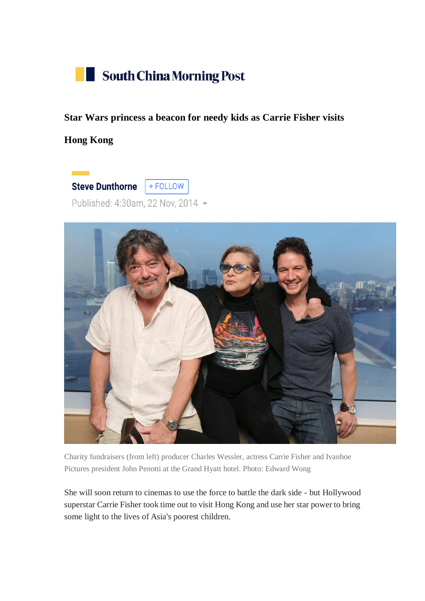

**Star Wars princess a beacon for needy kids as Carrie Fisher visits** 

**Hong Kong**

+ FOLLOW **Steve Dunthorne** Published: 4:30am, 22 Nov, 2014 -



Charity fundraisers (from left) producer Charles Wessler, actress Carrie Fisher and Ivanhoe Pictures president John Penotti at the Grand Hyatt hotel. Photo: Edward Wong

She will soon return to cinemas to use the force to battle the dark side - but Hollywood superstar Carrie Fisher took time out to visit Hong Kong and use her star power to bring some light to the lives of Asia's poorest children.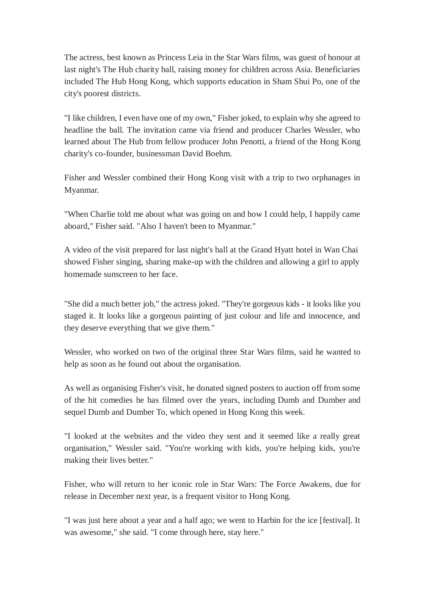The actress, best known as Princess Leia in the Star Wars films, was guest of honour at last night's The Hub charity ball, raising money for children across Asia. Beneficiaries included The Hub Hong Kong, which supports education in Sham Shui Po, one of the city's poorest districts.

"I like children, I even have one of my own," Fisher joked, to explain why she agreed to headline the ball. The invitation came via friend and producer Charles Wessler, who learned about The Hub from fellow producer John Penotti, a friend of the Hong Kong charity's co-founder, businessman David Boehm.

Fisher and Wessler combined their Hong Kong visit with a trip to two orphanages in Myanmar.

"When Charlie told me about what was going on and how I could help, I happily came aboard," Fisher said. "Also I haven't been to Myanmar."

A video of the visit prepared for last night's ball at the Grand Hyatt hotel in Wan Chai showed Fisher singing, sharing make-up with the children and allowing a girl to apply homemade sunscreen to her face.

"She did a much better job," the actress joked. "They're gorgeous kids - it looks like you staged it. It looks like a gorgeous painting of just colour and life and innocence, and they deserve everything that we give them."

Wessler, who worked on two of the original three Star Wars films, said he wanted to help as soon as he found out about the organisation.

As well as organising Fisher's visit, he donated signed posters to auction off from some of the hit comedies he has filmed over the years, including Dumb and Dumber and sequel Dumb and Dumber To, which opened in Hong Kong this week.

"I looked at the websites and the video they sent and it seemed like a really great organisation," Wessler said. "You're working with kids, you're helping kids, you're making their lives better."

Fisher, who will return to her iconic role in Star Wars: The Force Awakens, due for release in December next year, is a frequent visitor to Hong Kong.

"I was just here about a year and a half ago; we went to Harbin for the ice [festival]. It was awesome," she said. "I come through here, stay here."